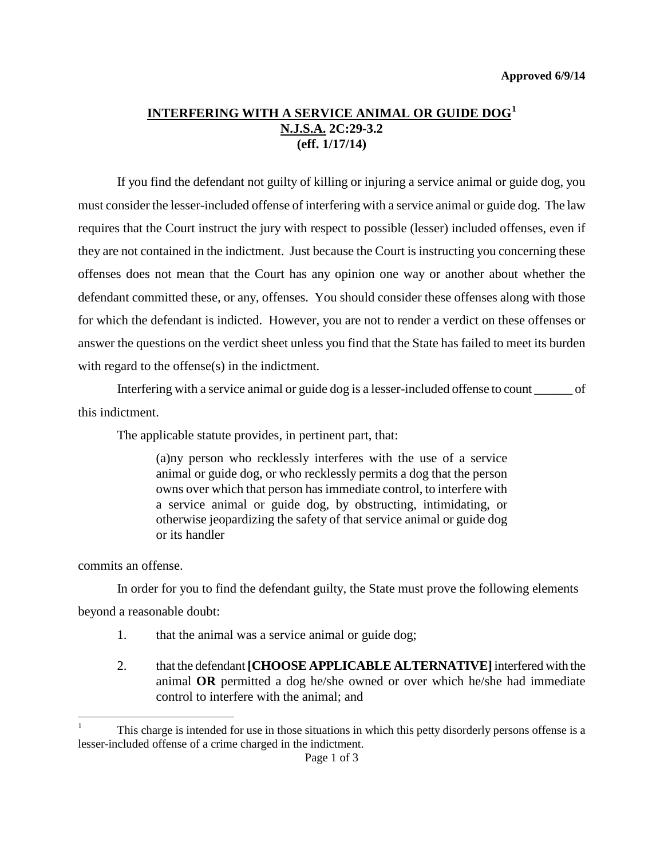## **INTERFERING WITH A SERVICE ANIMAL OR GUIDE DOG[1](#page-0-0) N.J.S.A. 2C:29-3.2 (eff. 1/17/14)**

If you find the defendant not guilty of killing or injuring a service animal or guide dog, you must consider the lesser-included offense of interfering with a service animal or guide dog. The law requires that the Court instruct the jury with respect to possible (lesser) included offenses, even if they are not contained in the indictment. Just because the Court is instructing you concerning these offenses does not mean that the Court has any opinion one way or another about whether the defendant committed these, or any, offenses. You should consider these offenses along with those for which the defendant is indicted. However, you are not to render a verdict on these offenses or answer the questions on the verdict sheet unless you find that the State has failed to meet its burden with regard to the offense(s) in the indictment.

Interfering with a service animal or guide dog is a lesser-included offense to count of this indictment.

The applicable statute provides, in pertinent part, that:

(a)ny person who recklessly interferes with the use of a service animal or guide dog, or who recklessly permits a dog that the person owns over which that person has immediate control, to interfere with a service animal or guide dog, by obstructing, intimidating, or otherwise jeopardizing the safety of that service animal or guide dog or its handler

commits an offense.

In order for you to find the defendant guilty, the State must prove the following elements beyond a reasonable doubt:

- 1. that the animal was a service animal or guide dog;
- 2. that the defendant **[CHOOSE APPLICABLE ALTERNATIVE]** interfered with the animal **OR** permitted a dog he/she owned or over which he/she had immediate control to interfere with the animal; and

<span id="page-0-1"></span><span id="page-0-0"></span> <sup>1</sup> This charge is intended for use in those situations in which this petty disorderly persons offense is a lesser-included offense of a crime charged in the indictment.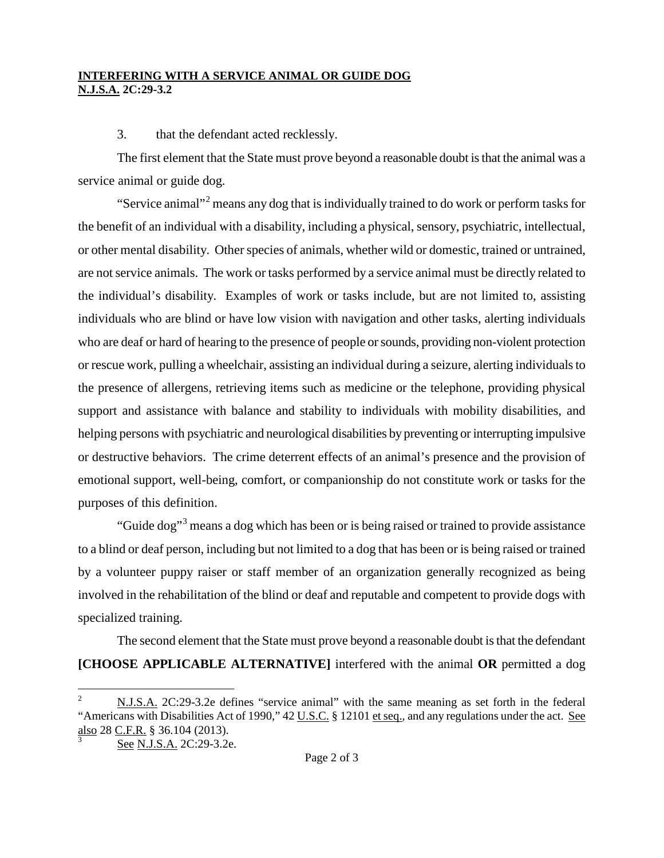## **INTERFERING WITH A SERVICE ANIMAL OR GUIDE DOG N.J.S.A. 2C:29-3.2**

3. that the defendant acted recklessly.

The first element that the State must prove beyond a reasonable doubt is that the animal was a service animal or guide dog.

"Service animal"<sup>[2](#page-0-1)</sup> means any dog that is individually trained to do work or perform tasks for the benefit of an individual with a disability, including a physical, sensory, psychiatric, intellectual, or other mental disability. Other species of animals, whether wild or domestic, trained or untrained, are not service animals. The work or tasks performed by a service animal must be directly related to the individual's disability. Examples of work or tasks include, but are not limited to, assisting individuals who are blind or have low vision with navigation and other tasks, alerting individuals who are deaf or hard of hearing to the presence of people or sounds, providing non-violent protection or rescue work, pulling a wheelchair, assisting an individual during a seizure, alerting individuals to the presence of allergens, retrieving items such as medicine or the telephone, providing physical support and assistance with balance and stability to individuals with mobility disabilities, and helping persons with psychiatric and neurological disabilities by preventing or interrupting impulsive or destructive behaviors. The crime deterrent effects of an animal's presence and the provision of emotional support, well-being, comfort, or companionship do not constitute work or tasks for the purposes of this definition.

"Guide dog"<sup>[3](#page-1-0)</sup> means a dog which has been or is being raised or trained to provide assistance to a blind or deaf person, including but not limited to a dog that has been or is being raised or trained by a volunteer puppy raiser or staff member of an organization generally recognized as being involved in the rehabilitation of the blind or deaf and reputable and competent to provide dogs with specialized training.

The second element that the State must prove beyond a reasonable doubt is that the defendant **[CHOOSE APPLICABLE ALTERNATIVE]** interfered with the animal **OR** permitted a dog

N.J.S.A. 2C:29-3.2e defines "service animal" with the same meaning as set forth in the federal "Americans with Disabilities Act of 1990," 42 U.S.C. § 12101 et seq., and any regulations under the act. See also 28 C.F.R. § 36.104 (2013).

<span id="page-1-0"></span>See N.J.S.A. 2C:29-3.2e.